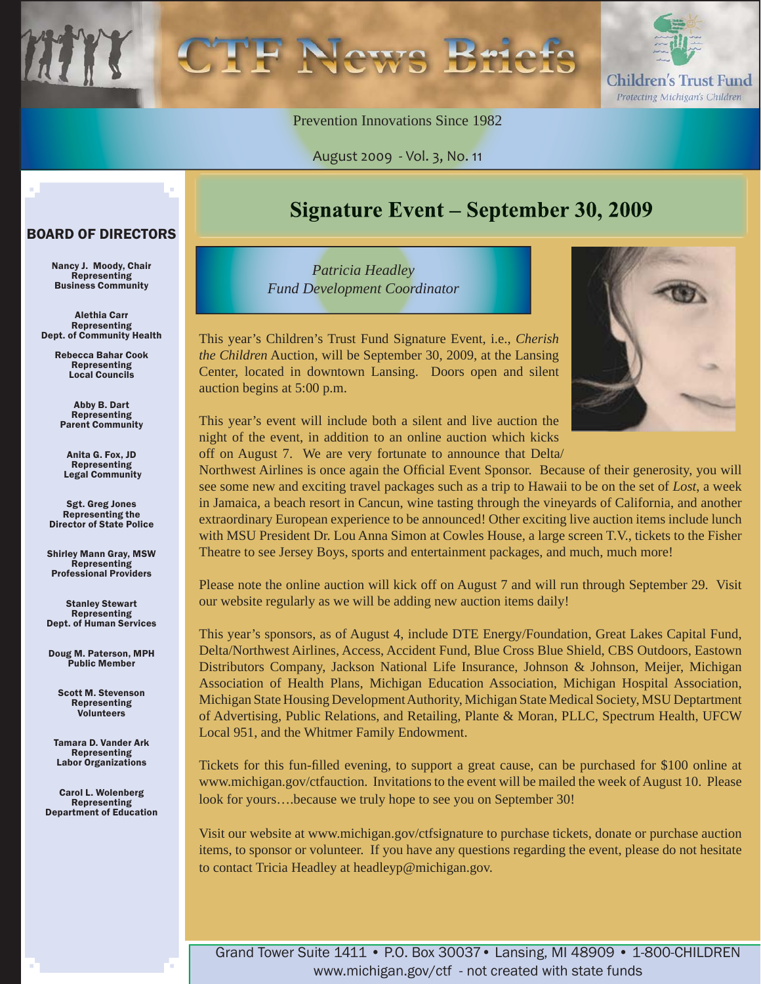

Prevention Innovations Since 1982

August 2009 - Vol. 3, No. 11

#### BOARD OF DIRECTORS

Nancy J. Moody, Chair Representing Business Community

Alethia Carr Representing Dept. of Community Health

> Rebecca Bahar Cook Representing Local Councils

Abby B. Dart Representing Parent Community

Anita G. Fox, JD Representing Legal Community

Sgt. Greg Jones Representing the Director of State Police

Shirley Mann Gray, MSW Representing Professional Providers

Stanley Stewart **Representing** Dept. of Human Services

Doug M. Paterson, MPH Public Member

Scott M. Stevenson Representing Volunteers

Tamara D. Vander Ark **Representing** Labor Organizations

Carol L. Wolenberg Representing Department of Education

### Signature Event – September 30, 2009

*Patricia Headley Fund Development Coordinator*

This year's Children's Trust Fund Signature Event, i.e., *Cherish the Children* Auction, will be September 30, 2009, at the Lansing Center, located in downtown Lansing. Doors open and silent auction begins at 5:00 p.m.



This year's event will include both a silent and live auction the night of the event, in addition to an online auction which kicks off on August 7. We are very fortunate to announce that Delta/

Northwest Airlines is once again the Official Event Sponsor. Because of their generosity, you will see some new and exciting travel packages such as a trip to Hawaii to be on the set of *Lost*, a week in Jamaica, a beach resort in Cancun, wine tasting through the vineyards of California, and another extraordinary European experience to be announced! Other exciting live auction items include lunch with MSU President Dr. Lou Anna Simon at Cowles House, a large screen T.V., tickets to the Fisher Theatre to see Jersey Boys, sports and entertainment packages, and much, much more!

Please note the online auction will kick off on August 7 and will run through September 29. Visit our website regularly as we will be adding new auction items daily!

This year's sponsors, as of August 4, include DTE Energy/Foundation, Great Lakes Capital Fund, Delta/Northwest Airlines, Access, Accident Fund, Blue Cross Blue Shield, CBS Outdoors, Eastown Distributors Company, Jackson National Life Insurance, Johnson & Johnson, Meijer, Michigan Association of Health Plans, Michigan Education Association, Michigan Hospital Association, Michigan State Housing Development Authority, Michigan State Medical Society, MSU Deptartment of Advertising, Public Relations, and Retailing, Plante & Moran, PLLC, Spectrum Health, UFCW Local 951, and the Whitmer Family Endowment.

Tickets for this fun-filled evening, to support a great cause, can be purchased for \$100 online at www.michigan.gov/ctfauction. Invitations to the event will be mailed the week of August 10. Please look for yours….because we truly hope to see you on September 30!

Visit our website at www.michigan.gov/ctfsignature to purchase tickets, donate or purchase auction items, to sponsor or volunteer. If you have any questions regarding the event, please do not hesitate to contact Tricia Headley at headleyp@michigan.gov.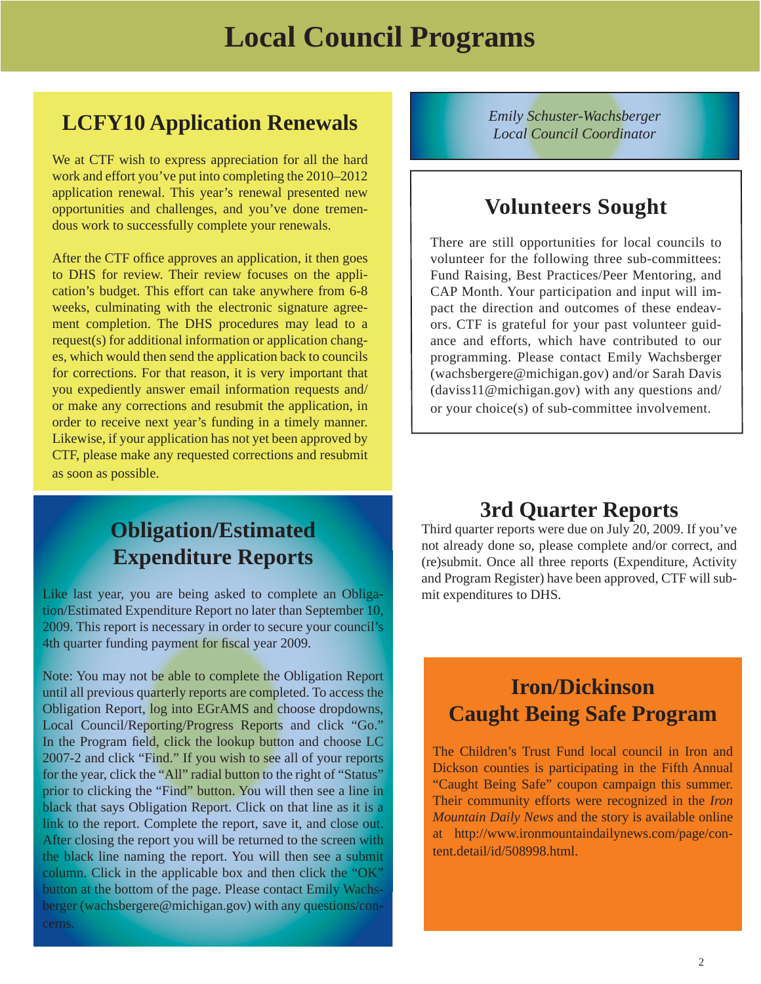### **LCFY10 Application Renewals**

We at CTF wish to express appreciation for all the hard work and effort you've put into completing the 2010–2012 application renewal. This year's renewal presented new opportunities and challenges, and you've done tremendous work to successfully complete your renewals.

After the CTF office approves an application, it then goes to DHS for review. Their review focuses on the application's budget. This effort can take anywhere from 6-8 weeks, culminating with the electronic signature agreement completion. The DHS procedures may lead to a request(s) for additional information or application changes, which would then send the application back to councils for corrections. For that reason, it is very important that you expediently answer email information requests and/ or make any corrections and resubmit the application, in order to receive next year's funding in a timely manner. Likewise, if your application has not yet been approved by CTF, please make any requested corrections and resubmit as soon as possible.

### **Obligation/Estimated Expenditure Reports**

Like last year, you are being asked to complete an Obligation/Estimated Expenditure Report no later than September 10, 2009. This report is necessary in order to secure your council's 4th quarter funding payment for fiscal year 2009.

Note: You may not be able to complete the Obligation Report until all previous quarterly reports are completed. To access the Obligation Report, log into EGrAMS and choose dropdowns, Local Council/Reporting/Progress Reports and click "Go." In the Program field, click the lookup button and choose LC 2007-2 and click "Find." If you wish to see all of your reports for the year, click the "All" radial button to the right of "Status" prior to clicking the "Find" button. You will then see a line in black that says Obligation Report. Click on that line as it is a link to the report. Complete the report, save it, and close out. After closing the report you will be returned to the screen with the black line naming the report. You will then see a submit column. Click in the applicable box and then click the "OK" button at the bottom of the page. Please contact Emily Wachsberger (wachsbergere@michigan.gov) with any questions/concerns.

*Emily Schuster-Wachsberger Local Council Coordinator*

### **Volunteers Sought**

There are still opportunities for local councils to volunteer for the following three sub-committees: Fund Raising, Best Practices/Peer Mentoring, and CAP Month. Your participation and input will impact the direction and outcomes of these endeavors. CTF is grateful for your past volunteer guidance and efforts, which have contributed to our programming. Please contact Emily Wachsberger (wachsbergere@michigan.gov) and/or Sarah Davis (daviss11@michigan.gov) with any questions and/ or your choice(s) of sub-committee involvement.

### **3rd Quarter Reports**

Third quarter reports were due on July 20, 2009. If you've not already done so, please complete and/or correct, and (re)submit. Once all three reports (Expenditure, Activity and Program Register) have been approved, CTF will submit expenditures to DHS.

### **Iron/Dickinson Caught Being Safe Program**

The Children's Trust Fund local council in Iron and Dickson counties is participating in the Fifth Annual "Caught Being Safe" coupon campaign this summer. Their community efforts were recognized in the *Iron Mountain Daily News* and the story is available online at http://www.ironmountaindailynews.com/page/content.detail/id/508998.html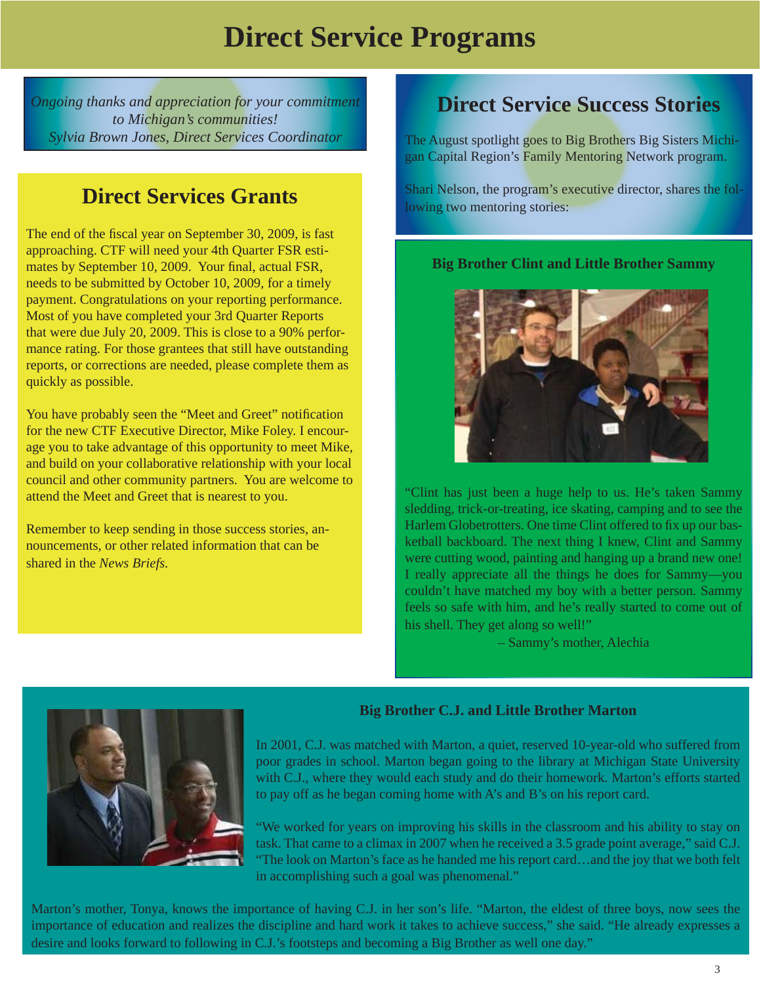## **Direct Service Programs**

*Ongoing thanks and appreciation for your commitment to Michigan's communities! Sylvia Brown Jones, Direct Services Coordinator*

### **Direct Services Grants**

The end of the fiscal year on September 30, 2009, is fast approaching. CTF will need your 4th Quarter FSR estimates by September 10, 2009. Your final, actual FSR, needs to be submitted by October 10, 2009, for a timely payment. Congratulations on your reporting performance. Most of you have completed your 3rd Quarter Reports that were due July 20, 2009. This is close to a 90% performance rating. For those grantees that still have outstanding reports, or corrections are needed, please complete them as quickly as possible.

You have probably seen the "Meet and Greet" notification for the new CTF Executive Director, Mike Foley. I encourage you to take advantage of this opportunity to meet Mike, and build on your collaborative relationship with your local council and other community partners. You are welcome to attend the Meet and Greet that is nearest to you.

Remember to keep sending in those success stories, announcements, or other related information that can be shared in the *News Briefs.*

### **Direct Service Success Stories**

The August spotlight goes to Big Brothers Big Sisters Michigan Capital Region's Family Mentoring Network program.

Shari Nelson, the program's executive director, shares the following two mentoring stories:

#### **Big Brother Clint and Little Brother Sammy**



"Clint has just been a huge help to us. He's taken Sammy sledding, trick-or-treating, ice skating, camping and to see the Harlem Globetrotters. One time Clint offered to fix up our basketball backboard. The next thing I knew, Clint and Sammy were cutting wood, painting and hanging up a brand new one! I really appreciate all the things he does for Sammy—you couldn't have matched my boy with a better person. Sammy feels so safe with him, and he's really started to come out of his shell. They get along so well!"

– Sammy's mother, Alechia



#### **Big Brother C.J. and Little Brother Marton**

In 2001, C.J. was matched with Marton, a quiet, reserved 10-year-old who suffered from poor grades in school. Marton began going to the library at Michigan State University with C.J., where they would each study and do their homework. Marton's efforts started to pay off as he began coming home with A's and B's on his report card.

"We worked for years on improving his skills in the classroom and his ability to stay on task. That came to a climax in 2007 when he received a 3.5 grade point average," said C.J. "The look on Marton's face as he handed me his report card…and the joy that we both felt in accomplishing such a goal was phenomenal."

Marton's mother, Tonya, knows the importance of having C.J. in her son's life. "Marton, the eldest of three boys, now sees the importance of education and realizes the discipline and hard work it takes to achieve success," she said. "He already expresses a desire and looks forward to following in C.J.'s footsteps and becoming a Big Brother as well one day."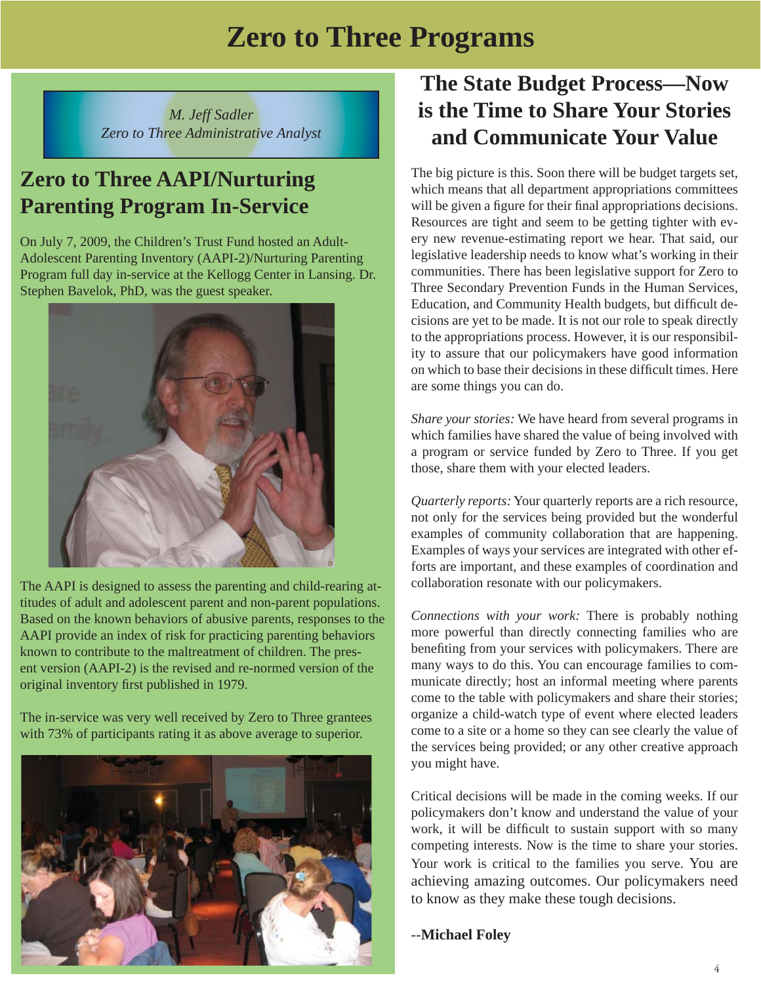## **Zero to Three Programs**

*M. Jeff Sadler Zero to Three Administrative Analyst*

## **Zero to Three AAPI/Nurturing Parenting Program In-Service**

On July 7, 2009, the Children's Trust Fund hosted an Adult-Adolescent Parenting Inventory (AAPI-2)/Nurturing Parenting Program full day in-service at the Kellogg Center in Lansing. Dr. Stephen Bavelok, PhD, was the guest speaker.



The AAPI is designed to assess the parenting and child-rearing attitudes of adult and adolescent parent and non-parent populations. Based on the known behaviors of abusive parents, responses to the AAPI provide an index of risk for practicing parenting behaviors known to contribute to the maltreatment of children. The present version (AAPI-2) is the revised and re-normed version of the original inventory first published in 1979.

The in-service was very well received by Zero to Three grantees with 73% of participants rating it as above average to superior.



### **The State Budget Process—Now is the Time to Share Your Stories and Communicate Your Value**

The big picture is this. Soon there will be budget targets set, which means that all department appropriations committees will be given a figure for their final appropriations decisions. Resources are tight and seem to be getting tighter with every new revenue-estimating report we hear. That said, our legislative leadership needs to know what's working in their communities. There has been legislative support for Zero to Three Secondary Prevention Funds in the Human Services, Education, and Community Health budgets, but difficult decisions are yet to be made. It is not our role to speak directly to the appropriations process. However, it is our responsibility to assure that our policymakers have good information on which to base their decisions in these difficult times. Here are some things you can do.

*Share your stories:* We have heard from several programs in which families have shared the value of being involved with a program or service funded by Zero to Three. If you get those, share them with your elected leaders.

*Quarterly reports:* Your quarterly reports are a rich resource, not only for the services being provided but the wonderful examples of community collaboration that are happening. Examples of ways your services are integrated with other efforts are important, and these examples of coordination and collaboration resonate with our policymakers.

*Connections with your work:* There is probably nothing more powerful than directly connecting families who are benefiting from your services with policymakers. There are many ways to do this. You can encourage families to communicate directly; host an informal meeting where parents come to the table with policymakers and share their stories; organize a child-watch type of event where elected leaders come to a site or a home so they can see clearly the value of the services being provided; or any other creative approach you might have.

Critical decisions will be made in the coming weeks. If our policymakers don't know and understand the value of your work, it will be difficult to sustain support with so many competing interests. Now is the time to share your stories. Your work is critical to the families you serve. You are achieving amazing outcomes. Our policymakers need to know as they make these tough decisions.

#### --**Michael Foley**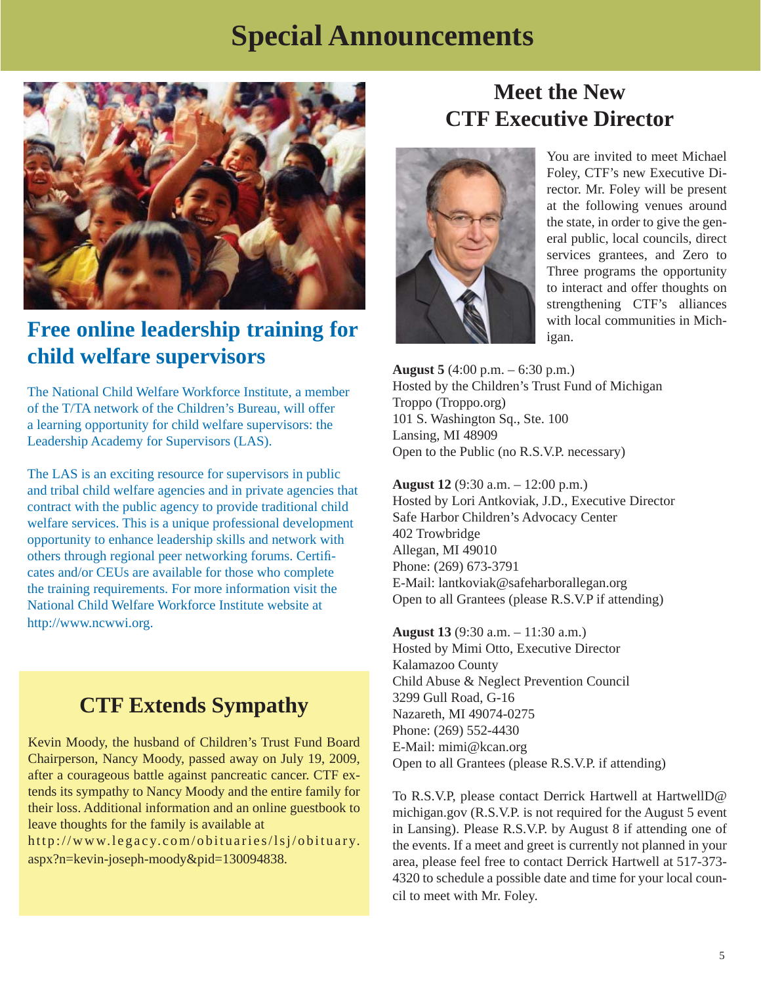## **Special Announcements**



### **Free online leadership training for child welfare supervisors**

The National Child Welfare Workforce Institute, a member of the T/TA network of the Children's Bureau, will offer a learning opportunity for child welfare supervisors: the Leadership Academy for Supervisors (LAS).

The LAS is an exciting resource for supervisors in public and tribal child welfare agencies and in private agencies that contract with the public agency to provide traditional child welfare services. This is a unique professional development opportunity to enhance leadership skills and network with others through regional peer networking forums. Certifi cates and/or CEUs are available for those who complete the training requirements. For more information visit the National Child Welfare Workforce Institute website at http://www.ncwwi.org.

### **CTF Extends Sympathy**

Kevin Moody, the husband of Children's Trust Fund Board Chairperson, Nancy Moody, passed away on July 19, 2009, after a courageous battle against pancreatic cancer. CTF extends its sympathy to Nancy Moody and the entire family for their loss. Additional information and an online guestbook to leave thoughts for the family is available at

http://www.legacy.com/obituaries/lsj/obituary. aspx?n=kevin-joseph-moody&pid=130094838.

### **Meet the New CTF Executive Director**



You are invited to meet Michael Foley, CTF's new Executive Director. Mr. Foley will be present at the following venues around the state, in order to give the general public, local councils, direct services grantees, and Zero to Three programs the opportunity to interact and offer thoughts on strengthening CTF's alliances with local communities in Michigan.

**August 5** (4:00 p.m. – 6:30 p.m.) Hosted by the Children's Trust Fund of Michigan Troppo (Troppo.org) 101 S. Washington Sq., Ste. 100 Lansing, MI 48909 Open to the Public (no R.S.V.P. necessary)

**August 12** (9:30 a.m. – 12:00 p.m.) Hosted by Lori Antkoviak, J.D., Executive Director Safe Harbor Children's Advocacy Center 402 Trowbridge Allegan, MI 49010 Phone: (269) 673-3791 E-Mail: lantkoviak@safeharborallegan.org Open to all Grantees (please R.S.V.P if attending)

**August 13** (9:30 a.m. – 11:30 a.m.) Hosted by Mimi Otto, Executive Director Kalamazoo County Child Abuse & Neglect Prevention Council 3299 Gull Road, G-16 Nazareth, MI 49074-0275 Phone: (269) 552-4430 E-Mail: mimi@kcan.org Open to all Grantees (please R.S.V.P. if attending)

To R.S.V.P, please contact Derrick Hartwell at HartwellD@ michigan.gov (R.S.V.P. is not required for the August 5 event in Lansing). Please R.S.V.P. by August 8 if attending one of the events. If a meet and greet is currently not planned in your area, please feel free to contact Derrick Hartwell at 517-373- 4320 to schedule a possible date and time for your local council to meet with Mr. Foley.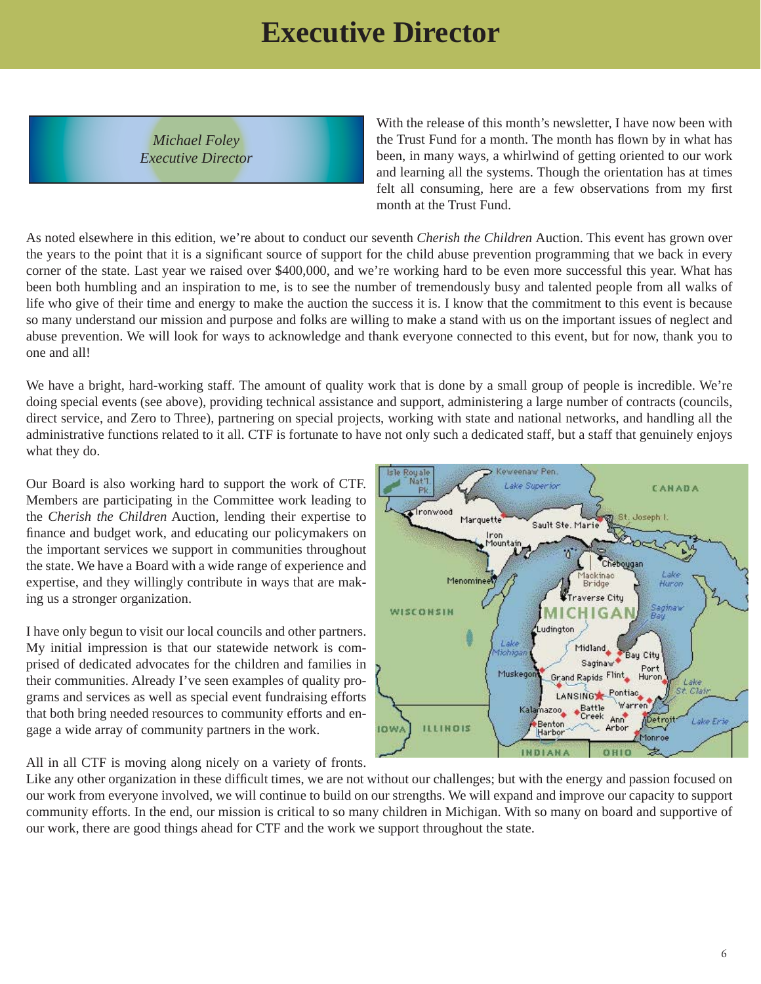## **Executive Director**

*Michael Foley Executive Director*

With the release of this month's newsletter, I have now been with the Trust Fund for a month. The month has flown by in what has been, in many ways, a whirlwind of getting oriented to our work and learning all the systems. Though the orientation has at times felt all consuming, here are a few observations from my first month at the Trust Fund.

As noted elsewhere in this edition, we're about to conduct our seventh *Cherish the Children* Auction. This event has grown over the years to the point that it is a significant source of support for the child abuse prevention programming that we back in every corner of the state. Last year we raised over \$400,000, and we're working hard to be even more successful this year. What has been both humbling and an inspiration to me, is to see the number of tremendously busy and talented people from all walks of life who give of their time and energy to make the auction the success it is. I know that the commitment to this event is because so many understand our mission and purpose and folks are willing to make a stand with us on the important issues of neglect and abuse prevention. We will look for ways to acknowledge and thank everyone connected to this event, but for now, thank you to one and all!

We have a bright, hard-working staff. The amount of quality work that is done by a small group of people is incredible. We're doing special events (see above), providing technical assistance and support, administering a large number of contracts (councils, direct service, and Zero to Three), partnering on special projects, working with state and national networks, and handling all the administrative functions related to it all. CTF is fortunate to have not only such a dedicated staff, but a staff that genuinely enjoys what they do.

Our Board is also working hard to support the work of CTF. Members are participating in the Committee work leading to the *Cherish the Children* Auction, lending their expertise to finance and budget work, and educating our policymakers on the important services we support in communities throughout the state. We have a Board with a wide range of experience and expertise, and they willingly contribute in ways that are making us a stronger organization.

I have only begun to visit our local councils and other partners. My initial impression is that our statewide network is comprised of dedicated advocates for the children and families in their communities. Already I've seen examples of quality programs and services as well as special event fundraising efforts that both bring needed resources to community efforts and engage a wide array of community partners in the work.

Lake Superior CANADA ronwood Marquette Joseph J Sault Ste, Marie Iron Mountair Cheh ekinac Menominee Huron Bridge averse City WISCONSIN Ludington ê Midland tichigal Bay City Saginaw Muskegor Grand Rapids Flint Huror Lake  $C1251$ LANSING Pontiac Warren Battle<br>Creek Kala nazoo<sub>a</sub> Ann Detro Lake Erie Benton<br>Harbor **ILLINOIS IOWA** Arbor fonnoe INDIANA 0810

eweenaw Pen

All in all CTF is moving along nicely on a variety of fronts.

Like any other organization in these difficult times, we are not without our challenges; but with the energy and passion focused on our work from everyone involved, we will continue to build on our strengths. We will expand and improve our capacity to support community efforts. In the end, our mission is critical to so many children in Michigan. With so many on board and supportive of our work, there are good things ahead for CTF and the work we support throughout the state.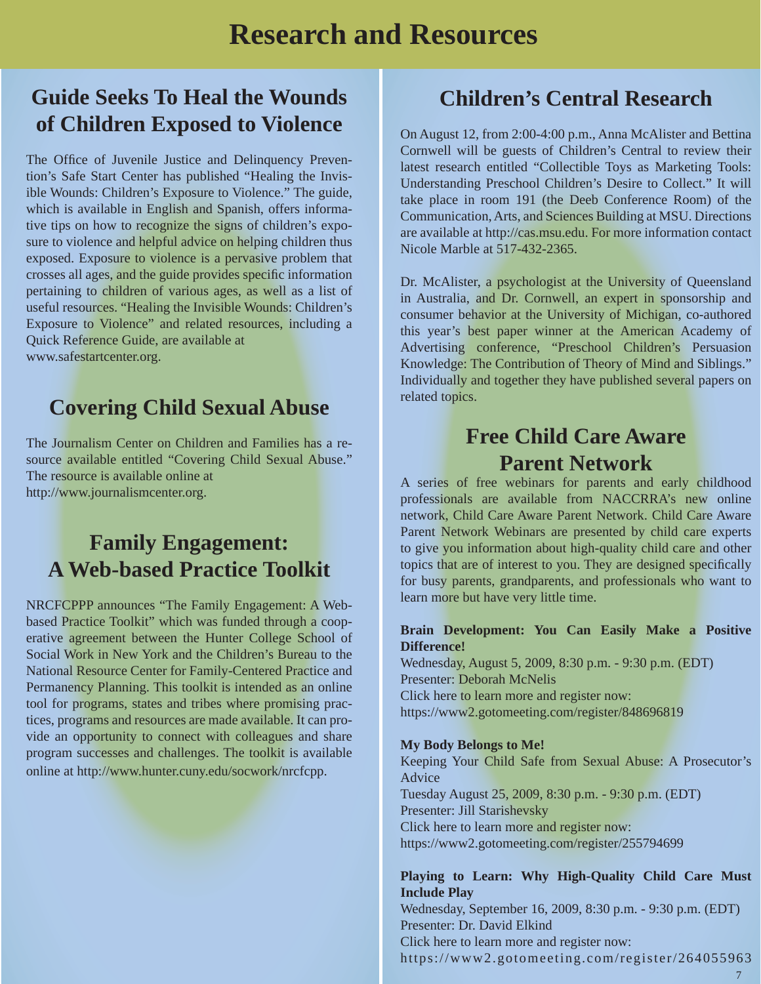## **Research and Resources**

### **Guide Seeks To Heal the Wounds of Children Exposed to Violence**

The Office of Juvenile Justice and Delinquency Prevention's Safe Start Center has published "Healing the Invisible Wounds: Children's Exposure to Violence." The guide, which is available in English and Spanish, offers informative tips on how to recognize the signs of children's exposure to violence and helpful advice on helping children thus exposed. Exposure to violence is a pervasive problem that crosses all ages, and the guide provides specific information pertaining to children of various ages, as well as a list of useful resources. "Healing the Invisible Wounds: Children's Exposure to Violence" and related resources, including a Quick Reference Guide, are available at www.safestartcenter.org.

### **Covering Child Sexual Abuse**

The Journalism Center on Children and Families has a resource available entitled "Covering Child Sexual Abuse." The resource is available online at http://www.journalismcenter.org.

### **Family Engagement: A Web-based Practice Toolkit**

NRCFCPPP announces "The Family Engagement: A Webbased Practice Toolkit" which was funded through a cooperative agreement between the Hunter College School of Social Work in New York and the Children's Bureau to the National Resource Center for Family-Centered Practice and Permanency Planning. This toolkit is intended as an online tool for programs, states and tribes where promising practices, programs and resources are made available. It can provide an opportunity to connect with colleagues and share program successes and challenges. The toolkit is available online at http://www.hunter.cuny.edu/socwork/nrcfcpp.

### **Children's Central Research**

On August 12, from 2:00-4:00 p.m., Anna McAlister and Bettina Cornwell will be guests of Children's Central to review their latest research entitled "Collectible Toys as Marketing Tools: Understanding Preschool Children's Desire to Collect." It will take place in room 191 (the Deeb Conference Room) of the Communication, Arts, and Sciences Building at MSU. Directions are available at http://cas.msu.edu. For more information contact Nicole Marble at 517-432-2365.

Dr. McAlister, a psychologist at the University of Queensland in Australia, and Dr. Cornwell, an expert in sponsorship and consumer behavior at the University of Michigan, co-authored this year's best paper winner at the American Academy of Advertising conference, "Preschool Children's Persuasion Knowledge: The Contribution of Theory of Mind and Siblings." Individually and together they have published several papers on related topics.

### **Free Child Care Aware Parent Network**

A series of free webinars for parents and early childhood professionals are available from NACCRRA's new online network, Child Care Aware Parent Network. Child Care Aware Parent Network Webinars are presented by child care experts to give you information about high-quality child care and other topics that are of interest to you. They are designed specifically for busy parents, grandparents, and professionals who want to learn more but have very little time.

#### **Brain Development: You Can Easily Make a Positive Difference!**

Wednesday, August 5, 2009, 8:30 p.m. - 9:30 p.m. (EDT) Presenter: Deborah McNelis Click here to learn more and register now: https://www2.gotomeeting.com/register/848696819

#### **My Body Belongs to Me!**

Keeping Your Child Safe from Sexual Abuse: A Prosecutor's Advice Tuesday August 25, 2009, 8:30 p.m. - 9:30 p.m. (EDT) Presenter: Jill Starishevsky Click here to learn more and register now: https://www2.gotomeeting.com/register/255794699

#### **Playing to Learn: Why High-Quality Child Care Must Include Play**

Wednesday, September 16, 2009, 8:30 p.m. - 9:30 p.m. (EDT) Presenter: Dr. David Elkind Click here to learn more and register now: https://www2.gotomeeting.com/register/2640559637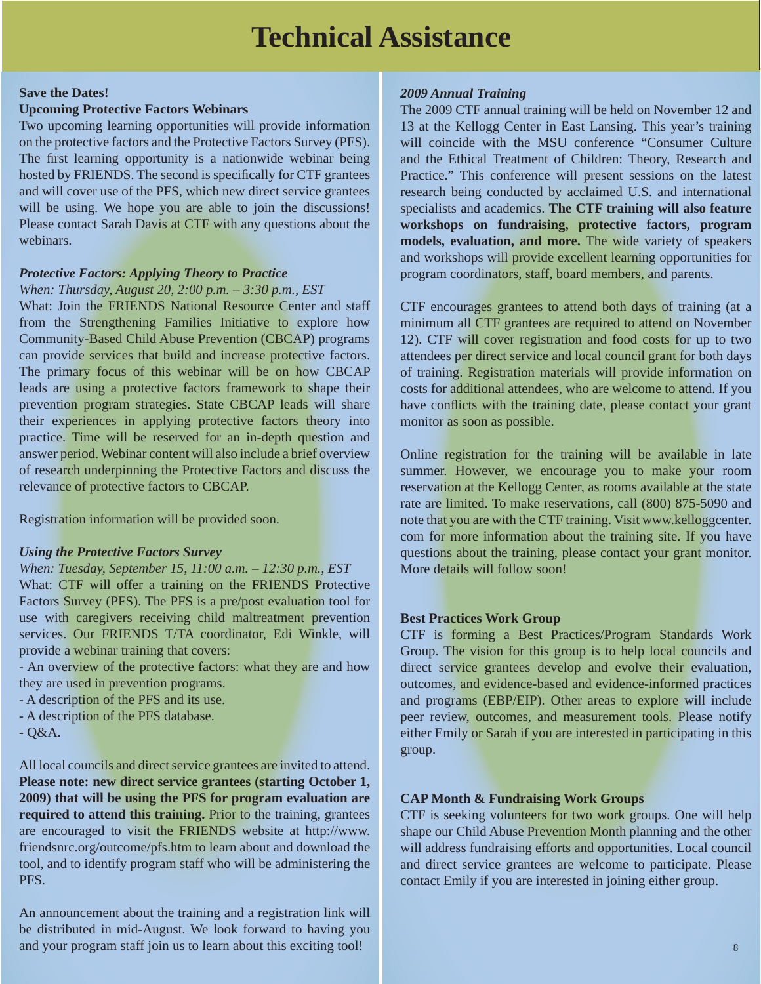## **Technical Assistance**

#### **Save the Dates!**

#### **Upcoming Protective Factors Webinars**

Two upcoming learning opportunities will provide information on the protective factors and the Protective Factors Survey (PFS). The first learning opportunity is a nationwide webinar being hosted by FRIENDS. The second is specifically for CTF grantees and will cover use of the PFS, which new direct service grantees will be using. We hope you are able to join the discussions! Please contact Sarah Davis at CTF with any questions about the webinars.

#### *Protective Factors: Applying Theory to Practice*

#### *When: Thursday, August 20, 2:00 p.m. – 3:30 p.m., EST*

What: Join the FRIENDS National Resource Center and staff from the Strengthening Families Initiative to explore how Community-Based Child Abuse Prevention (CBCAP) programs can provide services that build and increase protective factors. The primary focus of this webinar will be on how CBCAP leads are using a protective factors framework to shape their prevention program strategies. State CBCAP leads will share their experiences in applying protective factors theory into practice. Time will be reserved for an in-depth question and answer period. Webinar content will also include a brief overview of research underpinning the Protective Factors and discuss the relevance of protective factors to CBCAP.

Registration information will be provided soon.

#### *Using the Protective Factors Survey*

#### *When: Tuesday, September 15, 11:00 a.m. – 12:30 p.m., EST*

What: CTF will offer a training on the FRIENDS Protective Factors Survey (PFS). The PFS is a pre/post evaluation tool for use with caregivers receiving child maltreatment prevention services. Our FRIENDS T/TA coordinator, Edi Winkle, will provide a webinar training that covers:

- An overview of the protective factors: what they are and how they are used in prevention programs.

- A description of the PFS and its use.
- A description of the PFS database.
- $-$  Q&A.

All local councils and direct service grantees are invited to attend. **Please note: new direct service grantees (starting October 1, 2009) that will be using the PFS for program evaluation are required to attend this training.** Prior to the training, grantees are encouraged to visit the FRIENDS website at http://www. friendsnrc.org/outcome/pfs.htm to learn about and download the tool, and to identify program staff who will be administering the PFS.

An announcement about the training and a registration link will be distributed in mid-August. We look forward to having you and your program staff join us to learn about this exciting tool!

#### *2009 Annual Training*

The 2009 CTF annual training will be held on November 12 and 13 at the Kellogg Center in East Lansing. This year's training will coincide with the MSU conference "Consumer Culture and the Ethical Treatment of Children: Theory, Research and Practice." This conference will present sessions on the latest research being conducted by acclaimed U.S. and international specialists and academics. **The CTF training will also feature workshops on fundraising, protective factors, program models, evaluation, and more.** The wide variety of speakers and workshops will provide excellent learning opportunities for program coordinators, staff, board members, and parents.

CTF encourages grantees to attend both days of training (at a minimum all CTF grantees are required to attend on November 12). CTF will cover registration and food costs for up to two attendees per direct service and local council grant for both days of training. Registration materials will provide information on costs for additional attendees, who are welcome to attend. If you have conflicts with the training date, please contact your grant monitor as soon as possible.

Online registration for the training will be available in late summer. However, we encourage you to make your room reservation at the Kellogg Center, as rooms available at the state rate are limited. To make reservations, call (800) 875-5090 and note that you are with the CTF training. Visit www.kelloggcenter. com for more information about the training site. If you have questions about the training, please contact your grant monitor. More details will follow soon!

#### **Best Practices Work Group**

CTF is forming a Best Practices/Program Standards Work Group. The vision for this group is to help local councils and direct service grantees develop and evolve their evaluation, outcomes, and evidence-based and evidence-informed practices and programs (EBP/EIP). Other areas to explore will include peer review, outcomes, and measurement tools. Please notify either Emily or Sarah if you are interested in participating in this group.

#### **CAP Month & Fundraising Work Groups**

CTF is seeking volunteers for two work groups. One will help shape our Child Abuse Prevention Month planning and the other will address fundraising efforts and opportunities. Local council and direct service grantees are welcome to participate. Please contact Emily if you are interested in joining either group.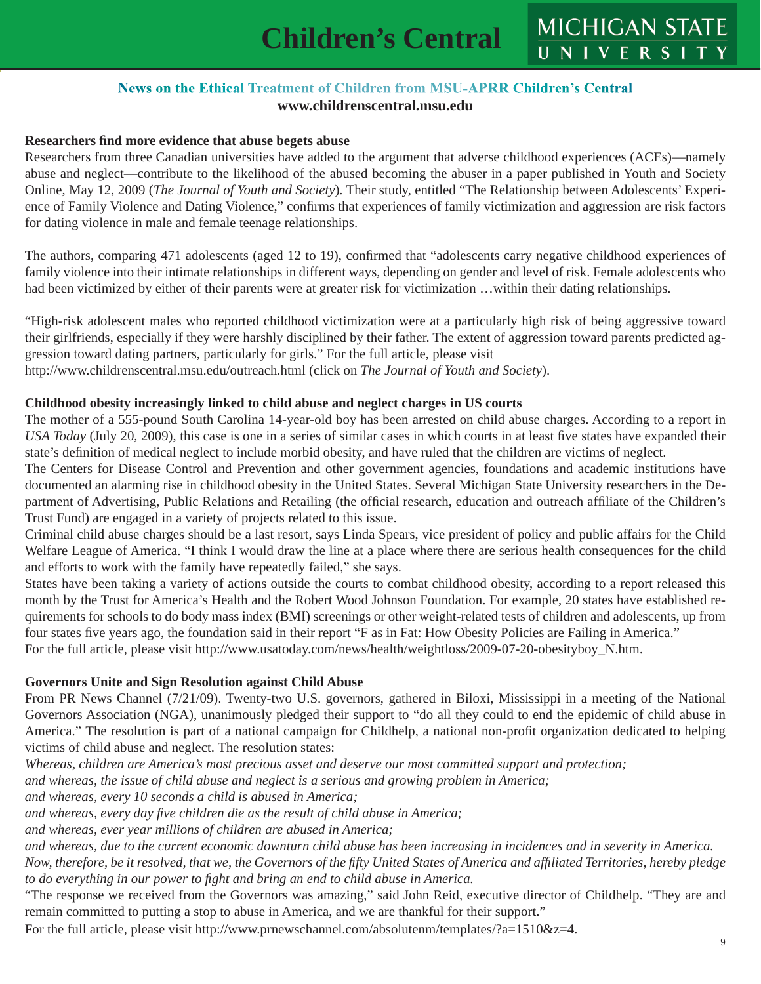#### **News on the Ethical Treatment of Children from MSU-APRR Children's Central www.childrenscentral.msu.edu**

#### **Researchers fi nd more evidence that abuse begets abuse**

Researchers from three Canadian universities have added to the argument that adverse childhood experiences (ACEs)—namely abuse and neglect—contribute to the likelihood of the abused becoming the abuser in a paper published in Youth and Society Online, May 12, 2009 (*The Journal of Youth and Society*). Their study, entitled "The Relationship between Adolescents' Experience of Family Violence and Dating Violence," confirms that experiences of family victimization and aggression are risk factors for dating violence in male and female teenage relationships.

The authors, comparing 471 adolescents (aged 12 to 19), confirmed that "adolescents carry negative childhood experiences of family violence into their intimate relationships in different ways, depending on gender and level of risk. Female adolescents who had been victimized by either of their parents were at greater risk for victimization …within their dating relationships.

"High-risk adolescent males who reported childhood victimization were at a particularly high risk of being aggressive toward their girlfriends, especially if they were harshly disciplined by their father. The extent of aggression toward parents predicted aggression toward dating partners, particularly for girls." For the full article, please visit http://www.childrenscentral.msu.edu/outreach.html (click on *The Journal of Youth and Society*).

#### **Childhood obesity increasingly linked to child abuse and neglect charges in US courts**

The mother of a 555-pound South Carolina 14-year-old boy has been arrested on child abuse charges. According to a report in *USA Today* (July 20, 2009), this case is one in a series of similar cases in which courts in at least five states have expanded their state's definition of medical neglect to include morbid obesity, and have ruled that the children are victims of neglect.

The Centers for Disease Control and Prevention and other government agencies, foundations and academic institutions have documented an alarming rise in childhood obesity in the United States. Several Michigan State University researchers in the Department of Advertising, Public Relations and Retailing (the official research, education and outreach affiliate of the Children's Trust Fund) are engaged in a variety of projects related to this issue.

Criminal child abuse charges should be a last resort, says Linda Spears, vice president of policy and public affairs for the Child Welfare League of America. "I think I would draw the line at a place where there are serious health consequences for the child and efforts to work with the family have repeatedly failed," she says.

States have been taking a variety of actions outside the courts to combat childhood obesity, according to a report released this month by the Trust for America's Health and the Robert Wood Johnson Foundation. For example, 20 states have established requirements for schools to do body mass index (BMI) screenings or other weight-related tests of children and adolescents, up from four states five years ago, the foundation said in their report "F as in Fat: How Obesity Policies are Failing in America." For the full article, please visit http://www.usatoday.com/news/health/weightloss/2009-07-20-obesityboy\_N.htm.

#### **Governors Unite and Sign Resolution against Child Abuse**

From PR News Channel (7/21/09). Twenty-two U.S. governors, gathered in Biloxi, Mississippi in a meeting of the National Governors Association (NGA), unanimously pledged their support to "do all they could to end the epidemic of child abuse in America." The resolution is part of a national campaign for Childhelp, a national non-profit organization dedicated to helping victims of child abuse and neglect. The resolution states:

*Whereas, children are America's most precious asset and deserve our most committed support and protection;* 

*and whereas, the issue of child abuse and neglect is a serious and growing problem in America;* 

*and whereas, every 10 seconds a child is abused in America;* 

*and whereas, every day fi ve children die as the result of child abuse in America;* 

*and whereas, ever year millions of children are abused in America;* 

*and whereas, due to the current economic downturn child abuse has been increasing in incidences and in severity in America.* 

*Now, therefore, be it resolved, that we, the Governors of the fifty United States of America and affiliated Territories, hereby pledge to do everything in our power to fi ght and bring an end to child abuse in America.*

"The response we received from the Governors was amazing," said John Reid, executive director of Childhelp. "They are and remain committed to putting a stop to abuse in America, and we are thankful for their support."

For the full article, please visit http://www.prnewschannel.com/absolutenm/templates/?a=1510&z=4.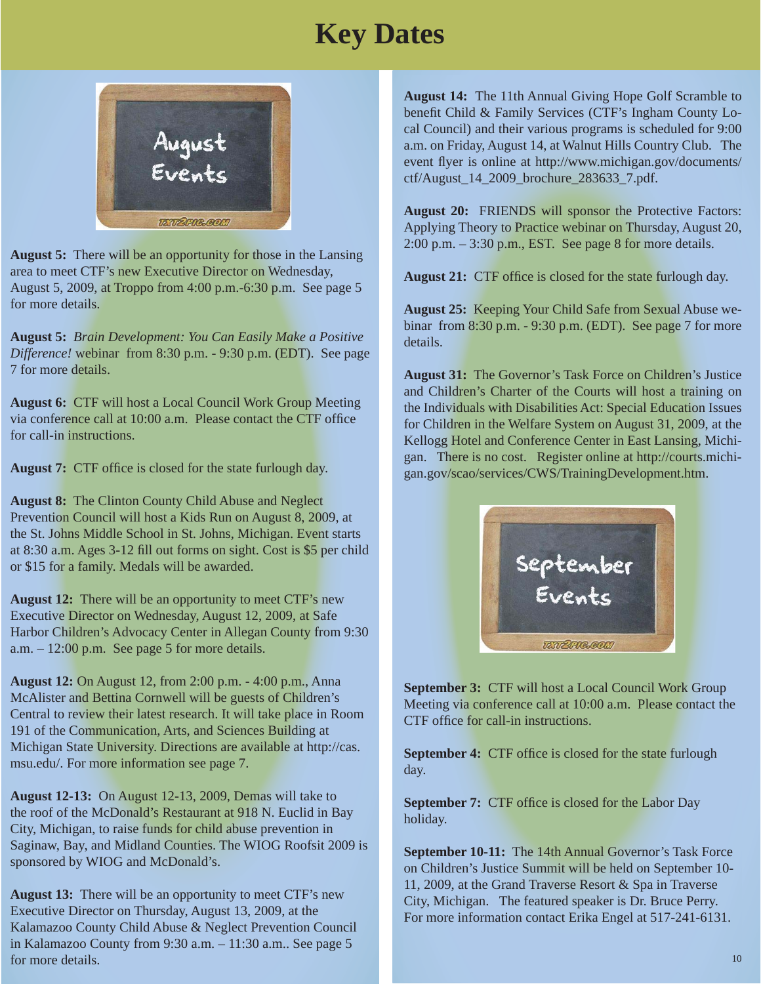# **Key Dates**



**August 5:** There will be an opportunity for those in the Lansing area to meet CTF's new Executive Director on Wednesday, August 5, 2009, at Troppo from 4:00 p.m.-6:30 p.m. See page 5 for more details.

**August 5:** *Brain Development: You Can Easily Make a Positive Difference!* webinar from 8:30 p.m. - 9:30 p.m. (EDT). See page 7 for more details.

**August 6:** CTF will host a Local Council Work Group Meeting via conference call at  $10:00$  a.m. Please contact the CTF office for call-in instructions.

August 7: CTF office is closed for the state furlough day.

**August 8:** The Clinton County Child Abuse and Neglect Prevention Council will host a Kids Run on August 8, 2009, at the St. Johns Middle School in St. Johns, Michigan. Event starts at 8:30 a.m. Ages 3-12 fill out forms on sight. Cost is \$5 per child or \$15 for a family. Medals will be awarded.

**August 12:** There will be an opportunity to meet CTF's new Executive Director on Wednesday, August 12, 2009, at Safe Harbor Children's Advocacy Center in Allegan County from 9:30 a.m.  $-12:00$  p.m. See page 5 for more details.

**August 12:** On August 12, from 2:00 p.m. - 4:00 p.m., Anna McAlister and Bettina Cornwell will be guests of Children's Central to review their latest research. It will take place in Room 191 of the Communication, Arts, and Sciences Building at Michigan State University. Directions are available at http://cas. msu.edu/. For more information see page 7.

**August 12-13:** On August 12-13, 2009, Demas will take to the roof of the McDonald's Restaurant at 918 N. Euclid in Bay City, Michigan, to raise funds for child abuse prevention in Saginaw, Bay, and Midland Counties. The WIOG Roofsit 2009 is sponsored by WIOG and McDonald's.

**August 13:** There will be an opportunity to meet CTF's new Executive Director on Thursday, August 13, 2009, at the Kalamazoo County Child Abuse & Neglect Prevention Council in Kalamazoo County from 9:30 a.m. – 11:30 a.m.. See page 5 for more details.

**August 14:** The 11th Annual Giving Hope Golf Scramble to benefit Child & Family Services (CTF's Ingham County Local Council) and their various programs is scheduled for 9:00 a.m. on Friday, August 14, at Walnut Hills Country Club. The event flyer is online at http://www.michigan.gov/documents/ ctf/August\_14\_2009\_brochure\_283633\_7.pdf.

**August 20:** FRIENDS will sponsor the Protective Factors: Applying Theory to Practice webinar on Thursday, August 20, 2:00 p.m. – 3:30 p.m., EST. See page 8 for more details.

August 21: CTF office is closed for the state furlough day.

**August 25:** Keeping Your Child Safe from Sexual Abuse webinar from 8:30 p.m. - 9:30 p.m. (EDT). See page 7 for more details.

**August 31:** The Governor's Task Force on Children's Justice and Children's Charter of the Courts will host a training on the Individuals with Disabilities Act: Special Education Issues for Children in the Welfare System on August 31, 2009, at the Kellogg Hotel and Conference Center in East Lansing, Michigan. There is no cost. Register online at http://courts.michigan.gov/scao/services/CWS/TrainingDevelopment.htm.



**September 3: CTF will host a Local Council Work Group** Meeting via conference call at 10:00 a.m. Please contact the CTF office for call-in instructions.

**September 4:** CTF office is closed for the state furlough day.

**September 7:** CTF office is closed for the Labor Day holiday.

**September 10-11:** The 14th Annual Governor's Task Force on Children's Justice Summit will be held on September 10- 11, 2009, at the Grand Traverse Resort & Spa in Traverse City, Michigan. The featured speaker is Dr. Bruce Perry. For more information contact Erika Engel at 517-241-6131.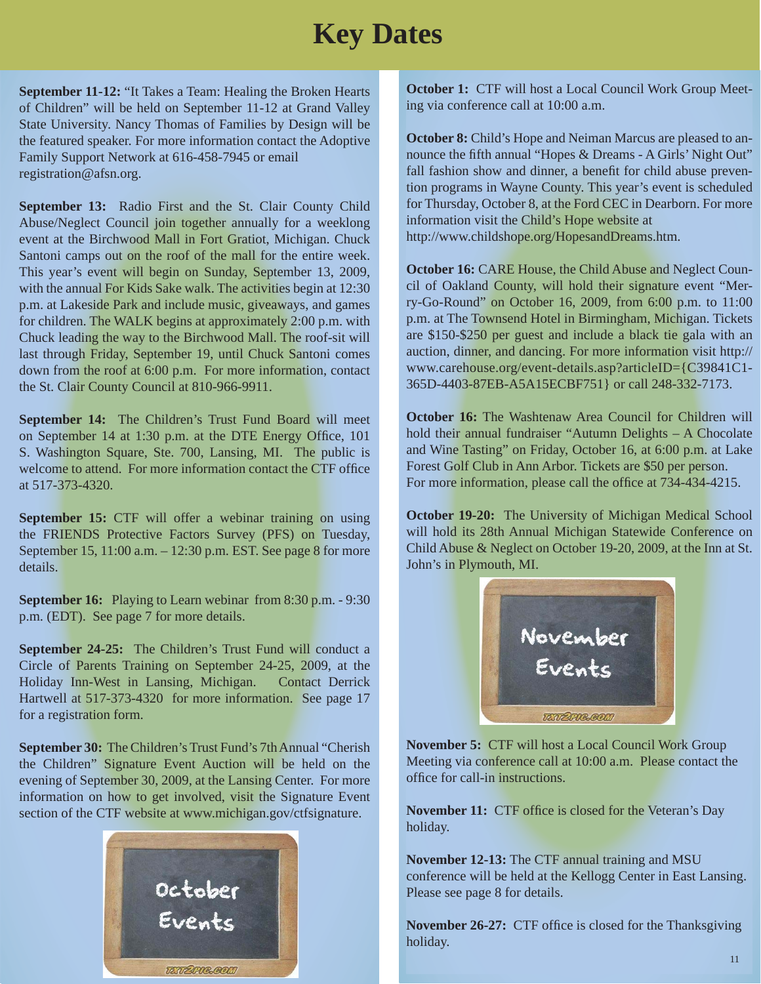## **Key Dates**

**September 11-12:** "It Takes a Team: Healing the Broken Hearts of Children" will be held on September 11-12 at Grand Valley State University. Nancy Thomas of Families by Design will be the featured speaker. For more information contact the Adoptive Family Support Network at 616-458-7945 or email registration@afsn.org.

**September 13:** Radio First and the St. Clair County Child Abuse/Neglect Council join together annually for a weeklong event at the Birchwood Mall in Fort Gratiot, Michigan. Chuck Santoni camps out on the roof of the mall for the entire week. This year's event will begin on Sunday, September 13, 2009, with the annual For Kids Sake walk. The activities begin at 12:30 p.m. at Lakeside Park and include music, giveaways, and games for children. The WALK begins at approximately 2:00 p.m. with Chuck leading the way to the Birchwood Mall. The roof-sit will last through Friday, September 19, until Chuck Santoni comes down from the roof at 6:00 p.m. For more information, contact the St. Clair County Council at 810-966-9911.

**September 14:** The Children's Trust Fund Board will meet on September 14 at 1:30 p.m. at the DTE Energy Office, 101 S. Washington Square, Ste. 700, Lansing, MI. The public is welcome to attend. For more information contact the CTF office at 517-373-4320.

**September 15:** CTF will offer a webinar training on using the FRIENDS Protective Factors Survey (PFS) on Tuesday, September 15, 11:00 a.m. – 12:30 p.m. EST. See page 8 for more details.

**September 16:** Playing to Learn webinar from 8:30 p.m. - 9:30 p.m. (EDT). See page 7 for more details.

**September 24-25:** The Children's Trust Fund will conduct a Circle of Parents Training on September 24-25, 2009, at the Holiday Inn-West in Lansing, Michigan. Contact Derrick Hartwell at 517-373-4320 for more information. See page 17 for a registration form.

**September 30:** The Children's Trust Fund's 7th Annual "Cherish the Children" Signature Event Auction will be held on the evening of September 30, 2009, at the Lansing Center. For more information on how to get involved, visit the Signature Event section of the CTF website at www.michigan.gov/ctfsignature.



**October 1:** CTF will host a Local Council Work Group Meeting via conference call at 10:00 a.m.

**October 8:** Child's Hope and Neiman Marcus are pleased to announce the fifth annual "Hopes & Dreams - A Girls' Night Out" fall fashion show and dinner, a benefit for child abuse prevention programs in Wayne County. This year's event is scheduled for Thursday, October 8, at the Ford CEC in Dearborn. For more information visit the Child's Hope website at http://www.childshope.org/HopesandDreams.htm.

**October 16:** CARE House, the Child Abuse and Neglect Council of Oakland County, will hold their signature event "Merry-Go-Round" on October 16, 2009, from 6:00 p.m. to 11:00 p.m. at The Townsend Hotel in Birmingham, Michigan. Tickets are \$150-\$250 per guest and include a black tie gala with an auction, dinner, and dancing. For more information visit http:// www.carehouse.org/event-details.asp?articleID={C39841C1- 365D-4403-87EB-A5A15ECBF751} or call 248-332-7173.

**October 16:** The Washtenaw Area Council for Children will hold their annual fundraiser "Autumn Delights – A Chocolate and Wine Tasting" on Friday, October 16, at 6:00 p.m. at Lake Forest Golf Club in Ann Arbor. Tickets are \$50 per person. For more information, please call the office at 734-434-4215.

**October 19-20:** The University of Michigan Medical School will hold its 28th Annual Michigan Statewide Conference on Child Abuse & Neglect on October 19-20, 2009, at the Inn at St. John's in Plymouth, MI.



**November 5:**CTF will host a Local Council Work Group Meeting via conference call at 10:00 a.m. Please contact the office for call-in instructions.

**November 11:** CTF office is closed for the Veteran's Day holiday.

**November 12-13:** The CTF annual training and MSU conference will be held at the Kellogg Center in East Lansing. Please see page 8 for details.

**November 26-27:** CTF office is closed for the Thanksgiving holiday.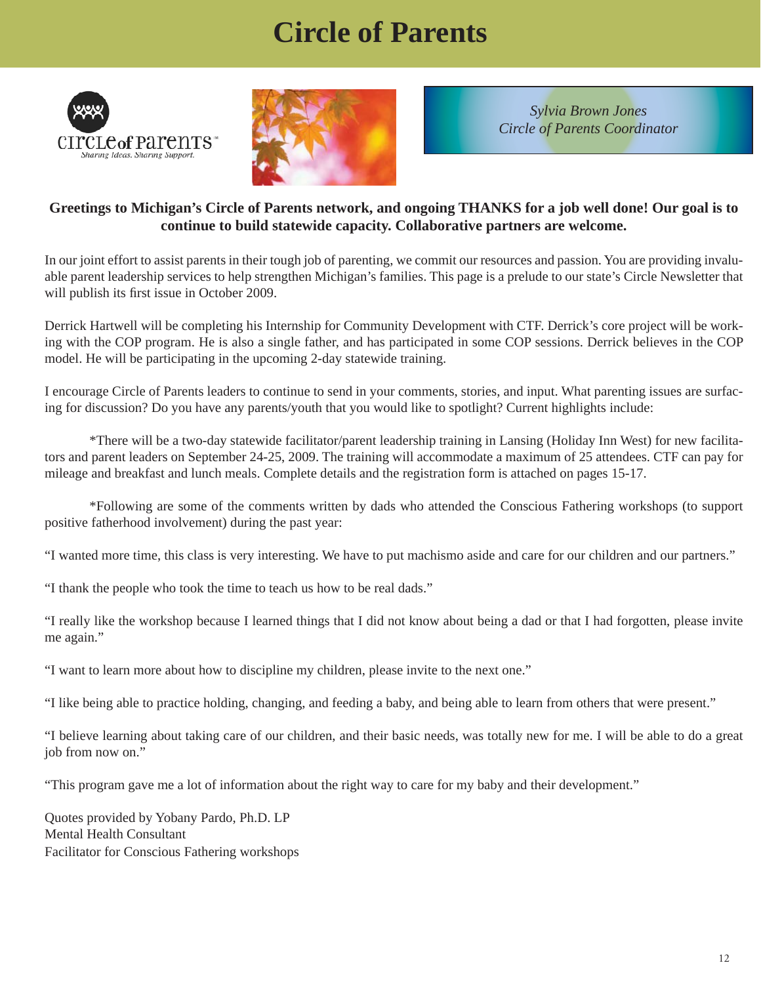# **Circle of Parents**





*Sylvia Brown Jones Circle of Parents Coordinator*

#### **Greetings to Michigan's Circle of Parents network, and ongoing THANKS for a job well done! Our goal is to continue to build statewide capacity. Collaborative partners are welcome.**

In our joint effort to assist parents in their tough job of parenting, we commit our resources and passion. You are providing invaluable parent leadership services to help strengthen Michigan's families. This page is a prelude to our state's Circle Newsletter that will publish its first issue in October 2009.

Derrick Hartwell will be completing his Internship for Community Development with CTF. Derrick's core project will be working with the COP program. He is also a single father, and has participated in some COP sessions. Derrick believes in the COP model. He will be participating in the upcoming 2-day statewide training.

I encourage Circle of Parents leaders to continue to send in your comments, stories, and input. What parenting issues are surfacing for discussion? Do you have any parents/youth that you would like to spotlight? Current highlights include:

 \*There will be a two-day statewide facilitator/parent leadership training in Lansing (Holiday Inn West) for new facilitators and parent leaders on September 24-25, 2009. The training will accommodate a maximum of 25 attendees. CTF can pay for mileage and breakfast and lunch meals. Complete details and the registration form is attached on pages 15-17.

 \*Following are some of the comments written by dads who attended the Conscious Fathering workshops (to support positive fatherhood involvement) during the past year:

"I wanted more time, this class is very interesting. We have to put machismo aside and care for our children and our partners."

"I thank the people who took the time to teach us how to be real dads."

"I really like the workshop because I learned things that I did not know about being a dad or that I had forgotten, please invite me again."

"I want to learn more about how to discipline my children, please invite to the next one."

"I like being able to practice holding, changing, and feeding a baby, and being able to learn from others that were present."

"I believe learning about taking care of our children, and their basic needs, was totally new for me. I will be able to do a great job from now on."

"This program gave me a lot of information about the right way to care for my baby and their development."

Quotes provided by Yobany Pardo, Ph.D. LP Mental Health Consultant Facilitator for Conscious Fathering workshops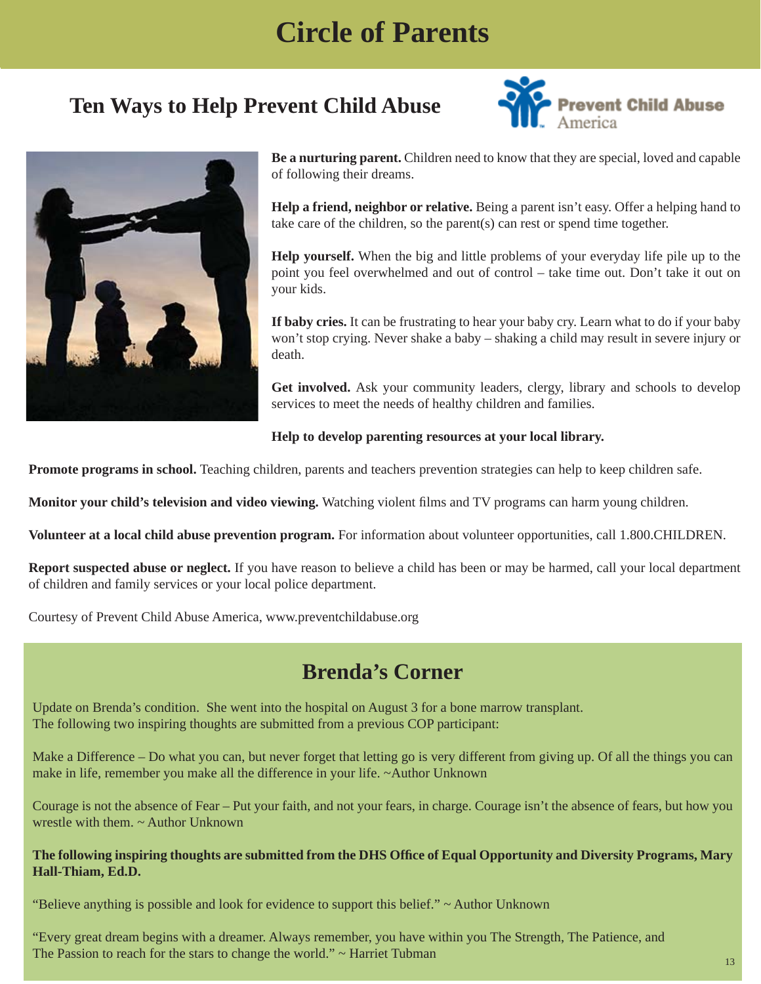## **Circle of Parents**

## **Ten Ways to Help Prevent Child Abuse**





**Be a nurturing parent.** Children need to know that they are special, loved and capable of following their dreams.

**Help a friend, neighbor or relative.** Being a parent isn't easy. Offer a helping hand to take care of the children, so the parent(s) can rest or spend time together.

**Help yourself.** When the big and little problems of your everyday life pile up to the point you feel overwhelmed and out of control – take time out. Don't take it out on your kids.

**If baby cries.** It can be frustrating to hear your baby cry. Learn what to do if your baby won't stop crying. Never shake a baby – shaking a child may result in severe injury or death.

**Get involved.** Ask your community leaders, clergy, library and schools to develop services to meet the needs of healthy children and families.

#### **Help to develop parenting resources at your local library.**

**Promote programs in school.** Teaching children, parents and teachers prevention strategies can help to keep children safe.

**Monitor your child's television and video viewing.** Watching violent films and TV programs can harm young children.

**Volunteer at a local child abuse prevention program.** For information about volunteer opportunities, call 1.800.CHILDREN.

**Report suspected abuse or neglect.** If you have reason to believe a child has been or may be harmed, call your local department of children and family services or your local police department.

Courtesy of Prevent Child Abuse America, www.preventchildabuse.org

### **Brenda's Corner**

Update on Brenda's condition. She went into the hospital on August 3 for a bone marrow transplant. The following two inspiring thoughts are submitted from a previous COP participant:

Make a Difference – Do what you can, but never forget that letting go is very different from giving up. Of all the things you can make in life, remember you make all the difference in your life. ~Author Unknown

Courage is not the absence of Fear – Put your faith, and not your fears, in charge. Courage isn't the absence of fears, but how you wrestle with them. ~ Author Unknown

#### The following inspiring thoughts are submitted from the DHS Office of Equal Opportunity and Diversity Programs, Mary **Hall-Thiam, Ed.D.**

"Believe anything is possible and look for evidence to support this belief."  $\sim$  Author Unknown

"Every great dream begins with a dreamer. Always remember, you have within you The Strength, The Patience, and The Passion to reach for the stars to change the world."  $\sim$  Harriet Tubman 13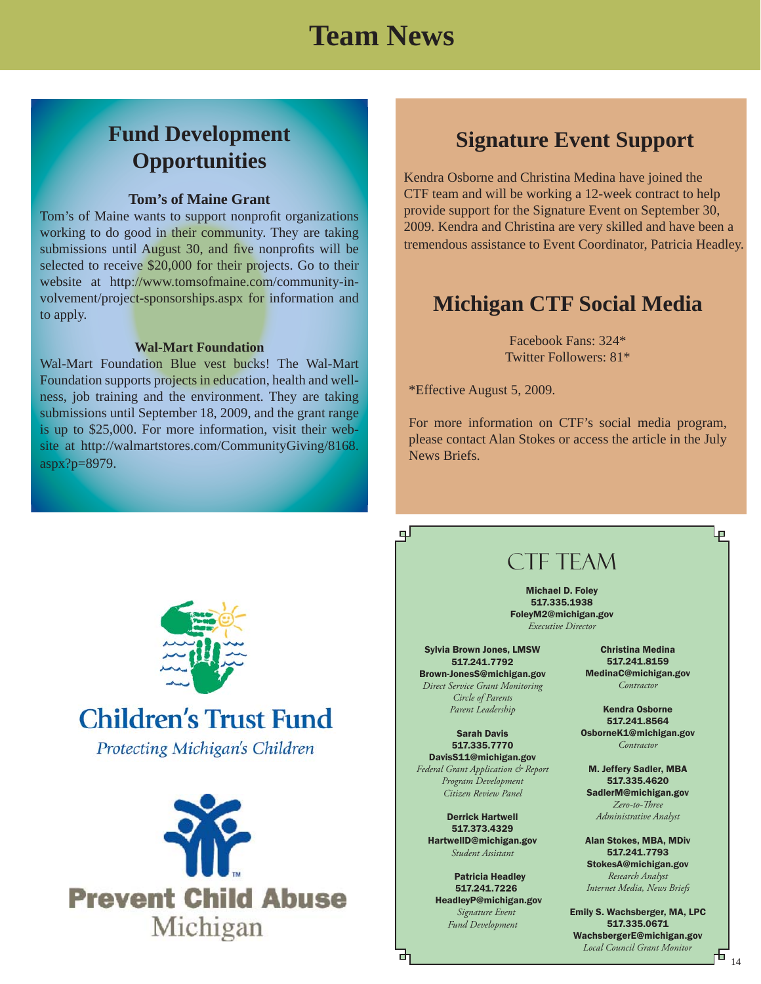## **Team News**

## **Fund Development Opportunities**

#### **Tom's of Maine Grant**

Tom's of Maine wants to support nonprofit organizations working to do good in their community. They are taking submissions until August 30, and five nonprofits will be selected to receive \$20,000 for their projects. Go to their website at http://www.tomsofmaine.com/community-involvement/project-sponsorships.aspx for information and to apply.

#### **Wal-Mart Foundation**

Wal-Mart Foundation Blue vest bucks! The Wal-Mart Foundation supports projects in education, health and wellness, job training and the environment. They are taking submissions until September 18, 2009, and the grant range is up to \$25,000. For more information, visit their website at http://walmartstores.com/CommunityGiving/8168. aspx?p=8979.

### **Signature Event Support**

Kendra Osborne and Christina Medina have joined the CTF team and will be working a 12-week contract to help provide support for the Signature Event on September 30, 2009. Kendra and Christina are very skilled and have been a tremendous assistance to Event Coordinator, Patricia Headley.

### **Michigan CTF Social Media**

Facebook Fans: 324\* Twitter Followers: 81\*

\*Effective August 5, 2009.

பு

For more information on CTF's social media program, please contact Alan Stokes or access the article in the July News Briefs.



## **Children's Trust Fund**

**Protecting Michigan's Children** 



### CTF TEAM

Michael D. Foley 517.335.1938 FoleyM2@michigan.gov *Executive Director*

Sylvia Brown Jones, LMSW 517.241.7792 Brown-JonesS@michigan.gov *Direct Service Grant Monitoring Circle of Parents Parent Leadership*

Sarah Davis 517.335.7770 DavisS11@michigan.gov *Federal Grant Application & Report Program Development Citizen Review Panel*

Derrick Hartwell 517.373.4329 HartwellD@michigan.gov *Student Assistant*

 Patricia Headley 517.241.7226 HeadleyP@michigan.gov  *Signature Event*

*Fund Development*

Christina Medina 517.241.8159 MedinaC@michigan.gov *Contractor*

Kendra Osborne 517.241.8564 OsborneK1@michigan.gov *Contractor*

M. Jeffery Sadler, MBA 517.335.4620 SadlerM@michigan.gov *Zero-to-Th ree Administrative Analyst*

Alan Stokes, MBA, MDiv 517.241.7793 StokesA@michigan.gov

*Research Analyst Internet Media, News Briefs*

Emily S. Wachsberger, MA, LPC 517.335.0671 WachsbergerE@michigan.gov *Local Council Grant Monitor*

Ļp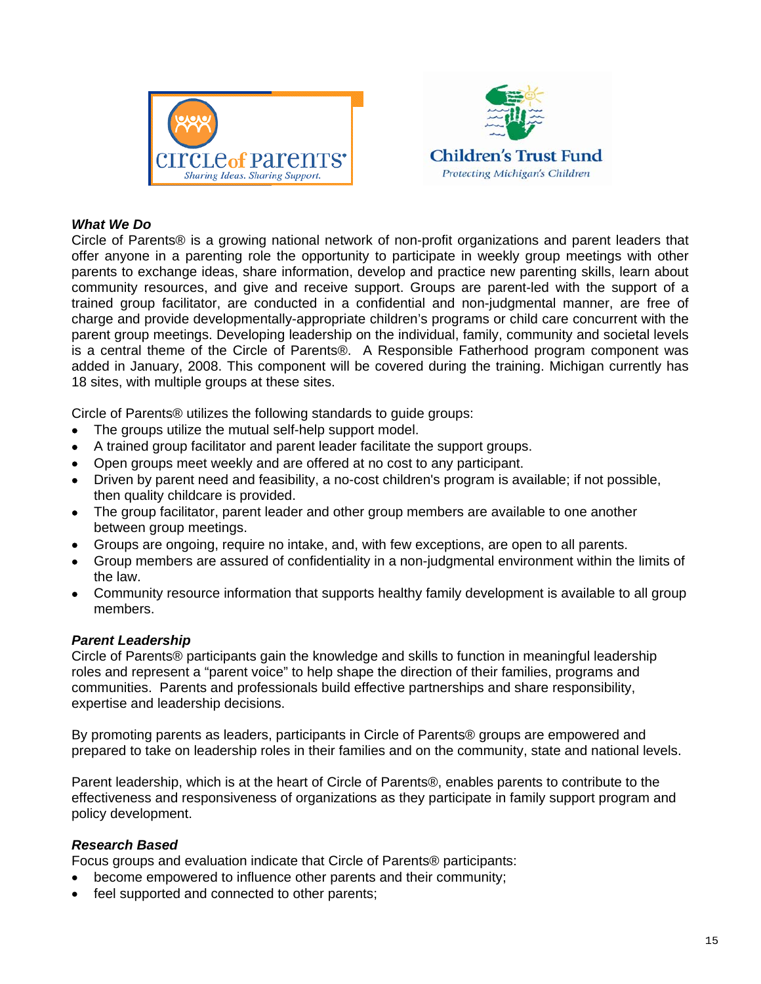



#### *What We Do*

Circle of Parents® is a growing national network of non-profit organizations and parent leaders that offer anyone in a parenting role the opportunity to participate in weekly group meetings with other parents to exchange ideas, share information, develop and practice new parenting skills, learn about community resources, and give and receive support. Groups are parent-led with the support of a trained group facilitator, are conducted in a confidential and non-judgmental manner, are free of charge and provide developmentally-appropriate children's programs or child care concurrent with the parent group meetings. Developing leadership on the individual, family, community and societal levels is a central theme of the Circle of Parents®. A Responsible Fatherhood program component was added in January, 2008. This component will be covered during the training. Michigan currently has 18 sites, with multiple groups at these sites.

Circle of Parents® utilizes the following standards to guide groups:

- The groups utilize the mutual self-help support model.
- A trained group facilitator and parent leader facilitate the support groups.
- Open groups meet weekly and are offered at no cost to any participant.
- Driven by parent need and feasibility, a no-cost children's program is available; if not possible, then quality childcare is provided.
- The group facilitator, parent leader and other group members are available to one another between group meetings.
- Groups are ongoing, require no intake, and, with few exceptions, are open to all parents.
- Group members are assured of confidentiality in a non-judgmental environment within the limits of the law.
- Community resource information that supports healthy family development is available to all group members.

#### *Parent Leadership*

Circle of Parents® participants gain the knowledge and skills to function in meaningful leadership roles and represent a "parent voice" to help shape the direction of their families, programs and communities. Parents and professionals build effective partnerships and share responsibility, expertise and leadership decisions.

By promoting parents as leaders, participants in Circle of Parents® groups are empowered and prepared to take on leadership roles in their families and on the community, state and national levels.

Parent leadership, which is at the heart of Circle of Parents®, enables parents to contribute to the effectiveness and responsiveness of organizations as they participate in family support program and policy development.

#### *Research Based*

Focus groups and evaluation indicate that Circle of Parents® participants:

- become empowered to influence other parents and their community;
- feel supported and connected to other parents;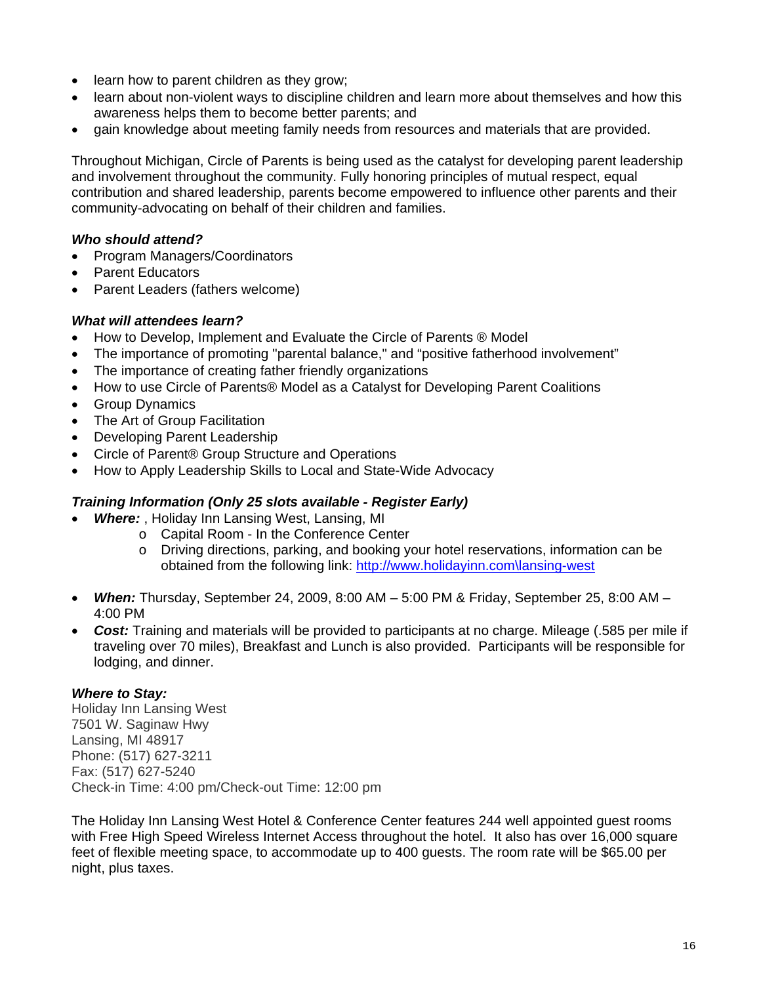- learn how to parent children as they grow;
- learn about non-violent ways to discipline children and learn more about themselves and how this awareness helps them to become better parents; and
- gain knowledge about meeting family needs from resources and materials that are provided.

Throughout Michigan, Circle of Parents is being used as the catalyst for developing parent leadership and involvement throughout the community. Fully honoring principles of mutual respect, equal contribution and shared leadership, parents become empowered to influence other parents and their community-advocating on behalf of their children and families.

#### *Who should attend?*

- Program Managers/Coordinators
- Parent Educators
- Parent Leaders (fathers welcome)

#### *What will attendees learn?*

- How to Develop, Implement and Evaluate the Circle of Parents ® Model
- The importance of promoting "parental balance," and "positive fatherhood involvement"
- The importance of creating father friendly organizations
- How to use Circle of Parents® Model as a Catalyst for Developing Parent Coalitions
- Group Dynamics
- The Art of Group Facilitation
- Developing Parent Leadership
- Circle of Parent® Group Structure and Operations
- How to Apply Leadership Skills to Local and State-Wide Advocacy

#### *Training Information (Only 25 slots available - Register Early)*

- *Where:* , Holiday Inn Lansing West, Lansing, MI
	- o Capital Room In the Conference Center
	- o Driving directions, parking, and booking your hotel reservations, information can be obtained from the following link: [http://www.holidayinn.com\lansing-west](http://www.holidayinn.com/lansing-west)
- *When:* Thursday, September 24, 2009, 8:00 AM 5:00 PM & Friday, September 25, 8:00 AM 4:00 PM
- *Cost:* Training and materials will be provided to participants at no charge. Mileage (.585 per mile if traveling over 70 miles), Breakfast and Lunch is also provided. Participants will be responsible for lodging, and dinner.

#### *Where to Stay:*

Holiday Inn Lansing West 7501 W. Saginaw Hwy Lansing, MI 48917 Phone: (517) 627-3211 Fax: (517) 627-5240 Check-in Time: 4:00 pm/Check-out Time: 12:00 pm

The Holiday Inn Lansing West Hotel & Conference Center features 244 well appointed guest rooms with Free High Speed Wireless Internet Access throughout the hotel. It also has over 16,000 square feet of flexible meeting space, to accommodate up to 400 guests. The room rate will be \$65.00 per night, plus taxes.